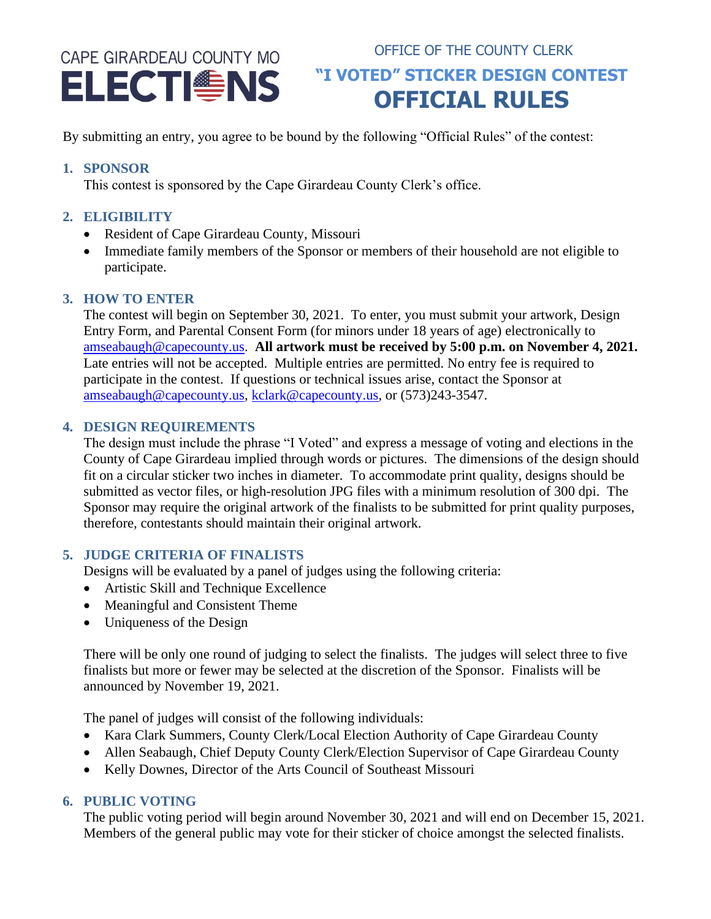# CAPE GIRARDEAU COUNTY MO

# OFFICE OF THE COUNTY CLERK **ELECTIS WE ARE ARELECTED OFFICIAL RULES**

By submitting an entry, you agree to be bound by the following "Official Rules" of the contest:

#### **1. SPONSOR**

This contest is sponsored by the Cape Girardeau County Clerk's office.

# **2. ELIGIBILITY**

- Resident of Cape Girardeau County, Missouri
- Immediate family members of the Sponsor or members of their household are not eligible to participate.

## **3. HOW TO ENTER**

The contest will begin on September 30, 2021. To enter, you must submit your artwork, Design Entry Form, and Parental Consent Form (for minors under 18 years of age) electronically to [amseabaugh@capecounty.us.](mailto:amseabaugh@capecounty.us) **All artwork must be received by 5:00 p.m. on November 4, 2021.** Late entries will not be accepted. Multiple entries are permitted. No entry fee is required to participate in the contest. If questions or technical issues arise, contact the Sponsor at [amseabaugh@capecounty.us,](mailto:amseabaugh@capecounty.us) [kclark@capecounty.us,](mailto:kclark@capecounty.us) or (573)243-3547.

## **4. DESIGN REQUIREMENTS**

The design must include the phrase "I Voted" and express a message of voting and elections in the County of Cape Girardeau implied through words or pictures. The dimensions of the design should fit on a circular sticker two inches in diameter. To accommodate print quality, designs should be submitted as vector files, or high-resolution JPG files with a minimum resolution of 300 dpi. The Sponsor may require the original artwork of the finalists to be submitted for print quality purposes, therefore, contestants should maintain their original artwork.

# **5. JUDGE CRITERIA OF FINALISTS**

Designs will be evaluated by a panel of judges using the following criteria:

- Artistic Skill and Technique Excellence
- Meaningful and Consistent Theme
- Uniqueness of the Design

There will be only one round of judging to select the finalists. The judges will select three to five finalists but more or fewer may be selected at the discretion of the Sponsor. Finalists will be announced by November 19, 2021.

The panel of judges will consist of the following individuals:

- Kara Clark Summers, County Clerk/Local Election Authority of Cape Girardeau County
- Allen Seabaugh, Chief Deputy County Clerk/Election Supervisor of Cape Girardeau County
- Kelly Downes, Director of the Arts Council of Southeast Missouri

# **6. PUBLIC VOTING**

The public voting period will begin around November 30, 2021 and will end on December 15, 2021. Members of the general public may vote for their sticker of choice amongst the selected finalists.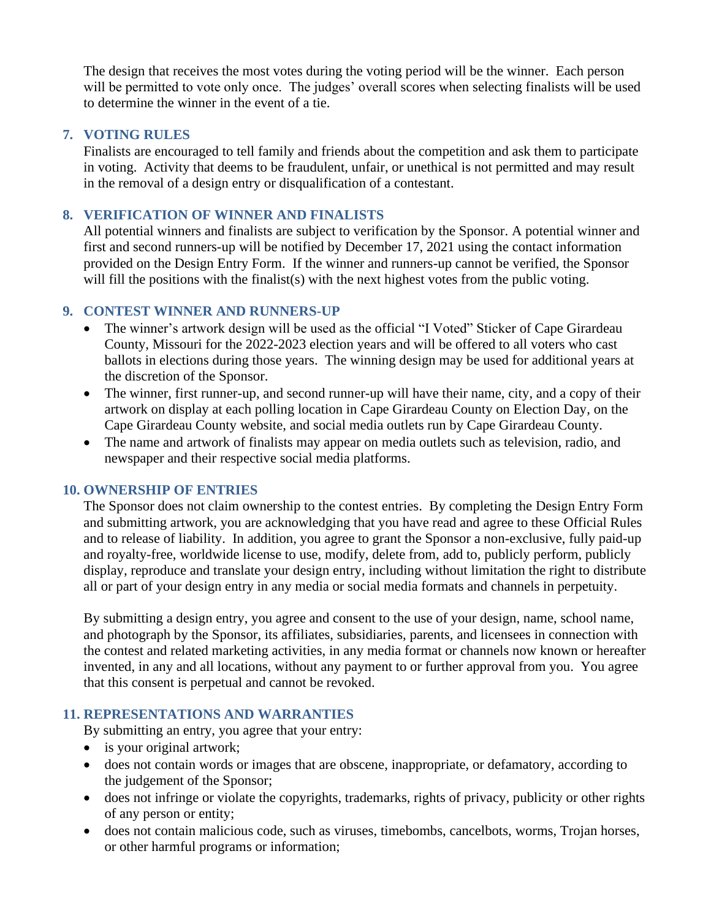The design that receives the most votes during the voting period will be the winner. Each person will be permitted to vote only once. The judges' overall scores when selecting finalists will be used to determine the winner in the event of a tie.

#### **7. VOTING RULES**

Finalists are encouraged to tell family and friends about the competition and ask them to participate in voting. Activity that deems to be fraudulent, unfair, or unethical is not permitted and may result in the removal of a design entry or disqualification of a contestant.

#### **8. VERIFICATION OF WINNER AND FINALISTS**

All potential winners and finalists are subject to verification by the Sponsor. A potential winner and first and second runners-up will be notified by December 17, 2021 using the contact information provided on the Design Entry Form. If the winner and runners-up cannot be verified, the Sponsor will fill the positions with the finalist(s) with the next highest votes from the public voting.

#### **9. CONTEST WINNER AND RUNNERS-UP**

- The winner's artwork design will be used as the official "I Voted" Sticker of Cape Girardeau County, Missouri for the 2022-2023 election years and will be offered to all voters who cast ballots in elections during those years. The winning design may be used for additional years at the discretion of the Sponsor.
- The winner, first runner-up, and second runner-up will have their name, city, and a copy of their artwork on display at each polling location in Cape Girardeau County on Election Day, on the Cape Girardeau County website, and social media outlets run by Cape Girardeau County.
- The name and artwork of finalists may appear on media outlets such as television, radio, and newspaper and their respective social media platforms.

#### **10. OWNERSHIP OF ENTRIES**

The Sponsor does not claim ownership to the contest entries. By completing the Design Entry Form and submitting artwork, you are acknowledging that you have read and agree to these Official Rules and to release of liability. In addition, you agree to grant the Sponsor a non-exclusive, fully paid-up and royalty-free, worldwide license to use, modify, delete from, add to, publicly perform, publicly display, reproduce and translate your design entry, including without limitation the right to distribute all or part of your design entry in any media or social media formats and channels in perpetuity.

By submitting a design entry, you agree and consent to the use of your design, name, school name, and photograph by the Sponsor, its affiliates, subsidiaries, parents, and licensees in connection with the contest and related marketing activities, in any media format or channels now known or hereafter invented, in any and all locations, without any payment to or further approval from you. You agree that this consent is perpetual and cannot be revoked.

#### **11. REPRESENTATIONS AND WARRANTIES**

By submitting an entry, you agree that your entry:

- is your original artwork;
- does not contain words or images that are obscene, inappropriate, or defamatory, according to the judgement of the Sponsor;
- does not infringe or violate the copyrights, trademarks, rights of privacy, publicity or other rights of any person or entity;
- does not contain malicious code, such as viruses, timebombs, cancelbots, worms, Trojan horses, or other harmful programs or information;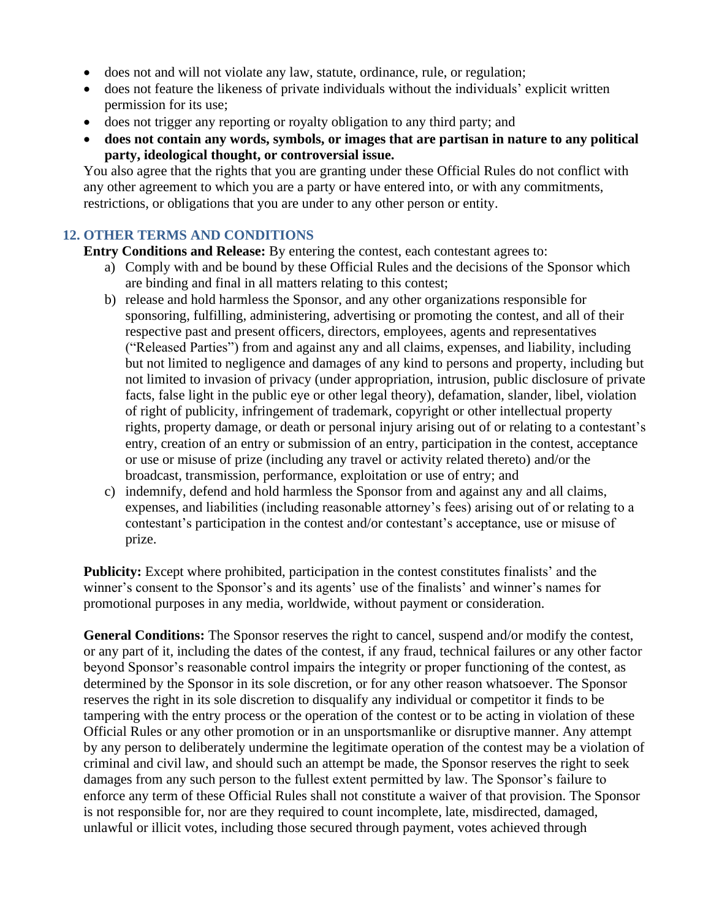- does not and will not violate any law, statute, ordinance, rule, or regulation;
- does not feature the likeness of private individuals without the individuals' explicit written permission for its use;
- does not trigger any reporting or royalty obligation to any third party; and
- **does not contain any words, symbols, or images that are partisan in nature to any political party, ideological thought, or controversial issue.**

You also agree that the rights that you are granting under these Official Rules do not conflict with any other agreement to which you are a party or have entered into, or with any commitments, restrictions, or obligations that you are under to any other person or entity.

#### **12. OTHER TERMS AND CONDITIONS**

**Entry Conditions and Release:** By entering the contest, each contestant agrees to:

- a) Comply with and be bound by these Official Rules and the decisions of the Sponsor which are binding and final in all matters relating to this contest;
- b) release and hold harmless the Sponsor, and any other organizations responsible for sponsoring, fulfilling, administering, advertising or promoting the contest, and all of their respective past and present officers, directors, employees, agents and representatives ("Released Parties") from and against any and all claims, expenses, and liability, including but not limited to negligence and damages of any kind to persons and property, including but not limited to invasion of privacy (under appropriation, intrusion, public disclosure of private facts, false light in the public eye or other legal theory), defamation, slander, libel, violation of right of publicity, infringement of trademark, copyright or other intellectual property rights, property damage, or death or personal injury arising out of or relating to a contestant's entry, creation of an entry or submission of an entry, participation in the contest, acceptance or use or misuse of prize (including any travel or activity related thereto) and/or the broadcast, transmission, performance, exploitation or use of entry; and
- c) indemnify, defend and hold harmless the Sponsor from and against any and all claims, expenses, and liabilities (including reasonable attorney's fees) arising out of or relating to a contestant's participation in the contest and/or contestant's acceptance, use or misuse of prize.

**Publicity:** Except where prohibited, participation in the contest constitutes finalists' and the winner's consent to the Sponsor's and its agents' use of the finalists' and winner's names for promotional purposes in any media, worldwide, without payment or consideration.

**General Conditions:** The Sponsor reserves the right to cancel, suspend and/or modify the contest, or any part of it, including the dates of the contest, if any fraud, technical failures or any other factor beyond Sponsor's reasonable control impairs the integrity or proper functioning of the contest, as determined by the Sponsor in its sole discretion, or for any other reason whatsoever. The Sponsor reserves the right in its sole discretion to disqualify any individual or competitor it finds to be tampering with the entry process or the operation of the contest or to be acting in violation of these Official Rules or any other promotion or in an unsportsmanlike or disruptive manner. Any attempt by any person to deliberately undermine the legitimate operation of the contest may be a violation of criminal and civil law, and should such an attempt be made, the Sponsor reserves the right to seek damages from any such person to the fullest extent permitted by law. The Sponsor's failure to enforce any term of these Official Rules shall not constitute a waiver of that provision. The Sponsor is not responsible for, nor are they required to count incomplete, late, misdirected, damaged, unlawful or illicit votes, including those secured through payment, votes achieved through